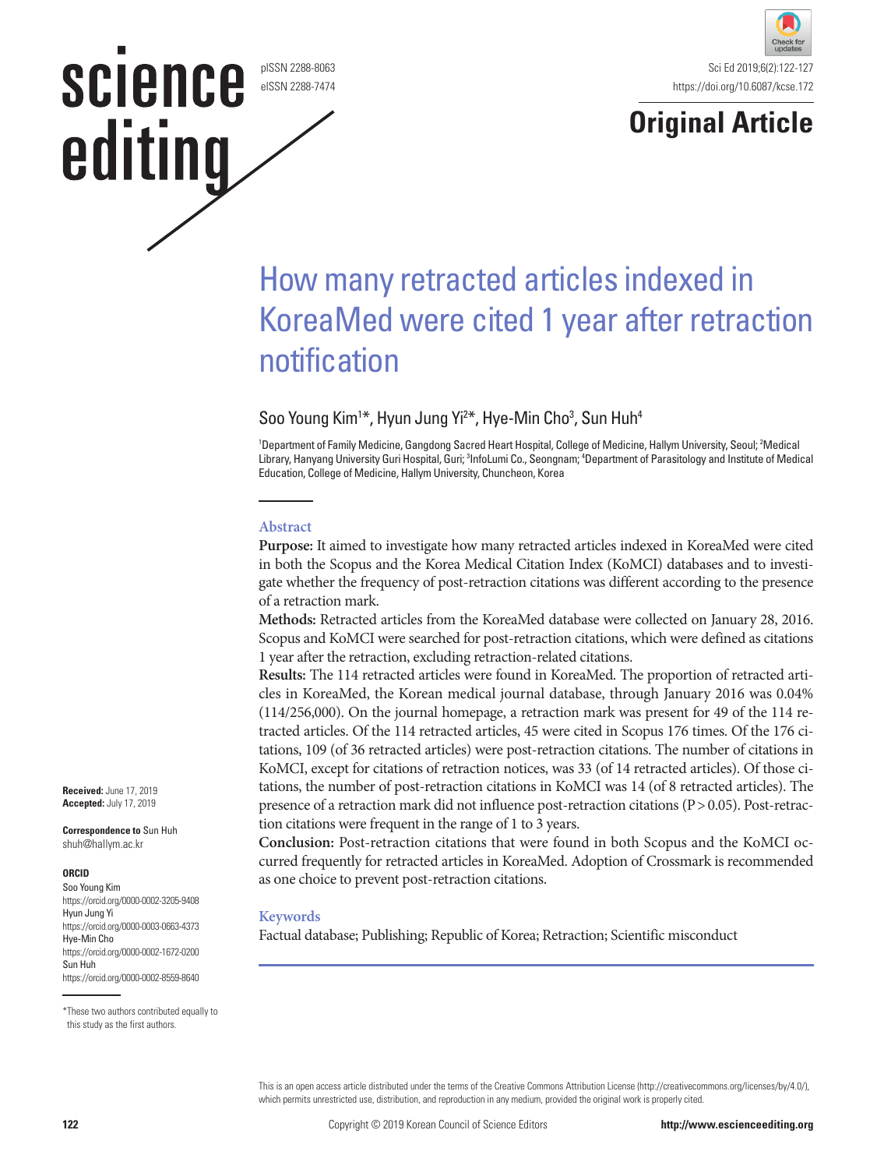pISSN 2288-8063 eISSN 2288-7474

science

editing



# **Original Article**

# How many retracted articles indexed in KoreaMed were cited 1 year after retraction notification

# Soo Young Kim<sup>1\*</sup>, Hyun Jung Yi<sup>2\*</sup>, Hye-Min Cho<sup>3</sup>, Sun Huh<sup>4</sup>

<sup>1</sup>Department of Family Medicine, Gangdong Sacred Heart Hospital, College of Medicine, Hallym University, Seoul; <sup>2</sup>Medical Library, Hanyang University Guri Hospital, Guri; <sup>3</sup>InfoLumi Co., Seongnam; <sup>4</sup>Department of Parasitology and Institute of Medical Education, College of Medicine, Hallym University, Chuncheon, Korea

#### **Abstract**

**Purpose:** It aimed to investigate how many retracted articles indexed in KoreaMed were cited in both the Scopus and the Korea Medical Citation Index (KoMCI) databases and to investigate whether the frequency of post-retraction citations was different according to the presence of a retraction mark.

**Methods:** Retracted articles from the KoreaMed database were collected on January 28, 2016. Scopus and KoMCI were searched for post-retraction citations, which were defined as citations 1 year after the retraction, excluding retraction-related citations.

**Results:** The 114 retracted articles were found in KoreaMed. The proportion of retracted articles in KoreaMed, the Korean medical journal database, through January 2016 was 0.04% (114/256,000). On the journal homepage, a retraction mark was present for 49 of the 114 retracted articles. Of the 114 retracted articles, 45 were cited in Scopus 176 times. Of the 176 citations, 109 (of 36 retracted articles) were post-retraction citations. The number of citations in KoMCI, except for citations of retraction notices, was 33 (of 14 retracted articles). Of those citations, the number of post-retraction citations in KoMCI was 14 (of 8 retracted articles). The presence of a retraction mark did not influence post-retraction citations (P> 0.05). Post-retraction citations were frequent in the range of 1 to 3 years.

**Conclusion:** Post-retraction citations that were found in both Scopus and the KoMCI occurred frequently for retracted articles in KoreaMed. Adoption of Crossmark is recommended as one choice to prevent post-retraction citations.

#### **Keywords**

Factual database; Publishing; Republic of Korea; Retraction; Scientific misconduct

**Received:** June 17, 2019 **Accepted:** July 17, 2019

**Correspondence to** Sun Huh shuh@hallym.ac.kr

#### **ORCID**

Soo Young Kim https://orcid.org/0000-0002-3205-9408 Hyun Jung Yi https://orcid.org/0000-0003-0663-4373 Hye-Min Cho https://orcid.org/0000-0002-1672-0200 Sun Huh https://orcid.org/0000-0002-8559-8640

This is an open access article distributed under the terms of the Creative Commons Attribution License (http://creativecommons.org/licenses/by/4.0/), which permits unrestricted use, distribution, and reproduction in any medium, provided the original work is properly cited.

<sup>\*</sup>These two authors contributed equally to this study as the first authors.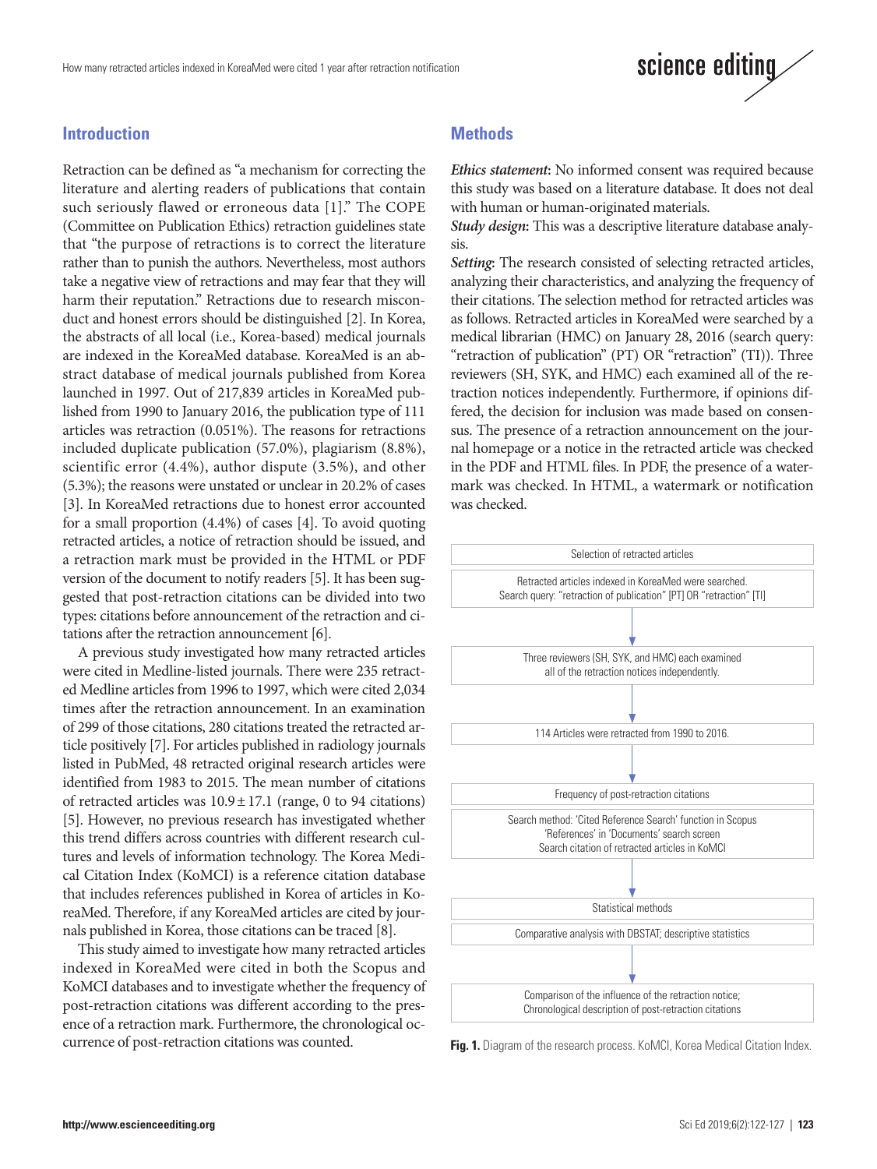

### **Introduction**

Retraction can be defined as "a mechanism for correcting the literature and alerting readers of publications that contain such seriously flawed or erroneous data [1]." The COPE (Committee on Publication Ethics) retraction guidelines state that "the purpose of retractions is to correct the literature rather than to punish the authors. Nevertheless, most authors take a negative view of retractions and may fear that they will harm their reputation." Retractions due to research misconduct and honest errors should be distinguished [2]. In Korea, the abstracts of all local (i.e., Korea-based) medical journals are indexed in the KoreaMed database. KoreaMed is an abstract database of medical journals published from Korea launched in 1997. Out of 217,839 articles in KoreaMed published from 1990 to January 2016, the publication type of 111 articles was retraction (0.051%). The reasons for retractions included duplicate publication (57.0%), plagiarism (8.8%), scientific error (4.4%), author dispute (3.5%), and other (5.3%); the reasons were unstated or unclear in 20.2% of cases [3]. In KoreaMed retractions due to honest error accounted for a small proportion (4.4%) of cases [4]. To avoid quoting retracted articles, a notice of retraction should be issued, and a retraction mark must be provided in the HTML or PDF version of the document to notify readers [5]. It has been suggested that post-retraction citations can be divided into two types: citations before announcement of the retraction and citations after the retraction announcement [6].

A previous study investigated how many retracted articles were cited in Medline-listed journals. There were 235 retracted Medline articles from 1996 to 1997, which were cited 2,034 times after the retraction announcement. In an examination of 299 of those citations, 280 citations treated the retracted article positively [7]. For articles published in radiology journals listed in PubMed, 48 retracted original research articles were identified from 1983 to 2015. The mean number of citations of retracted articles was  $10.9 \pm 17.1$  (range, 0 to 94 citations) [5]. However, no previous research has investigated whether this trend differs across countries with different research cultures and levels of information technology. The Korea Medical Citation Index (KoMCI) is a reference citation database that includes references published in Korea of articles in KoreaMed. Therefore, if any KoreaMed articles are cited by journals published in Korea, those citations can be traced [8].

This study aimed to investigate how many retracted articles indexed in KoreaMed were cited in both the Scopus and KoMCI databases and to investigate whether the frequency of post-retraction citations was different according to the presence of a retraction mark. Furthermore, the chronological occurrence of post-retraction citations was counted.

### **Methods**

*Ethics statement***:** No informed consent was required because this study was based on a literature database. It does not deal with human or human-originated materials.

*Study design***:** This was a descriptive literature database analysis.

*Setting***:** The research consisted of selecting retracted articles, analyzing their characteristics, and analyzing the frequency of their citations. The selection method for retracted articles was as follows. Retracted articles in KoreaMed were searched by a medical librarian (HMC) on January 28, 2016 (search query: "retraction of publication" (PT) OR "retraction" (TI)). Three reviewers (SH, SYK, and HMC) each examined all of the retraction notices independently. Furthermore, if opinions differed, the decision for inclusion was made based on consensus. The presence of a retraction announcement on the journal homepage or a notice in the retracted article was checked in the PDF and HTML files. In PDF, the presence of a watermark was checked. In HTML, a watermark or notification was checked.



**Fig. 1.** Diagram of the research process. KoMCI, Korea Medical Citation Index.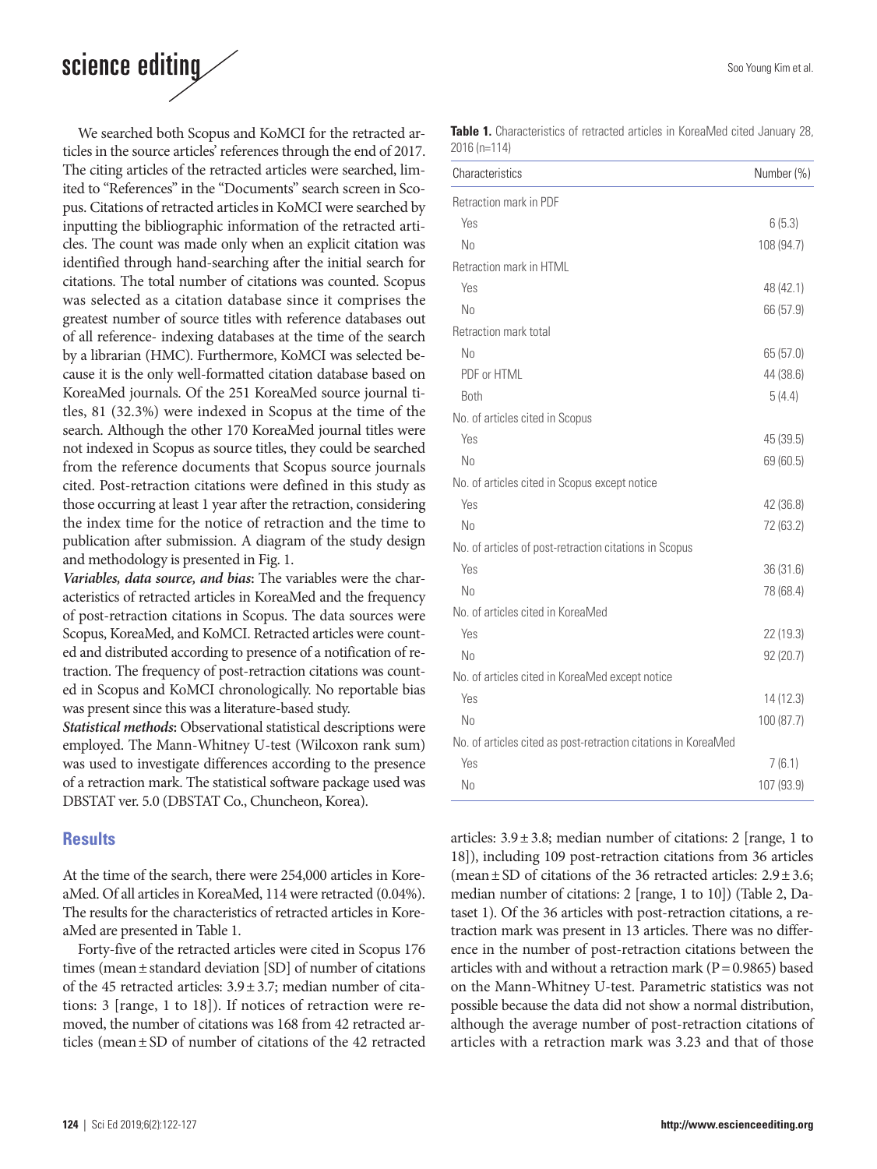# science editing

We searched both Scopus and KoMCI for the retracted articles in the source articles' references through the end of 2017. The citing articles of the retracted articles were searched, limited to "References" in the "Documents" search screen in Scopus. Citations of retracted articles in KoMCI were searched by inputting the bibliographic information of the retracted articles. The count was made only when an explicit citation was identified through hand-searching after the initial search for citations. The total number of citations was counted. Scopus was selected as a citation database since it comprises the greatest number of source titles with reference databases out of all reference- indexing databases at the time of the search by a librarian (HMC). Furthermore, KoMCI was selected because it is the only well-formatted citation database based on KoreaMed journals. Of the 251 KoreaMed source journal titles, 81 (32.3%) were indexed in Scopus at the time of the search. Although the other 170 KoreaMed journal titles were not indexed in Scopus as source titles, they could be searched from the reference documents that Scopus source journals cited. Post-retraction citations were defined in this study as those occurring at least 1 year after the retraction, considering the index time for the notice of retraction and the time to publication after submission. A diagram of the study design and methodology is presented in Fig. 1.

*Variables, data source, and bias***:** The variables were the characteristics of retracted articles in KoreaMed and the frequency of post-retraction citations in Scopus. The data sources were Scopus, KoreaMed, and KoMCI. Retracted articles were counted and distributed according to presence of a notification of retraction. The frequency of post-retraction citations was counted in Scopus and KoMCI chronologically. No reportable bias was present since this was a literature-based study.

*Statistical methods***:** Observational statistical descriptions were employed. The Mann-Whitney U-test (Wilcoxon rank sum) was used to investigate differences according to the presence of a retraction mark. The statistical software package used was DBSTAT ver. 5.0 (DBSTAT Co., Chuncheon, Korea).

### **Results**

At the time of the search, there were 254,000 articles in KoreaMed. Of all articles in KoreaMed, 114 were retracted (0.04%). The results for the characteristics of retracted articles in KoreaMed are presented in Table 1.

Forty-five of the retracted articles were cited in Scopus 176 times (mean± standard deviation [SD] of number of citations of the 45 retracted articles: 3.9± 3.7; median number of citations: 3 [range, 1 to 18]). If notices of retraction were removed, the number of citations was 168 from 42 retracted articles (mean ± SD of number of citations of the 42 retracted

| <b>Table 1.</b> Characteristics of retracted articles in KoreaMed cited January 28, |  |  |  |  |
|-------------------------------------------------------------------------------------|--|--|--|--|
| $2016(n=114)$                                                                       |  |  |  |  |

| Characteristics                                                | Number (%) |
|----------------------------------------------------------------|------------|
| Retraction mark in PDF                                         |            |
| Yes                                                            | 6(5.3)     |
| No                                                             | 108 (94.7) |
| Retraction mark in HTML                                        |            |
| Yes                                                            | 48 (42.1)  |
| No                                                             | 66 (57.9)  |
| Retraction mark total                                          |            |
| N <sub>0</sub>                                                 | 65(57.0)   |
| PDF or HTML                                                    | 44 (38.6)  |
| <b>Both</b>                                                    | 5(4.4)     |
| No. of articles cited in Scopus                                |            |
| Yes                                                            | 45 (39.5)  |
| No                                                             | 69 (60.5)  |
| No. of articles cited in Scopus except notice                  |            |
| Yes                                                            | 42 (36.8)  |
| No                                                             | 72 (63.2)  |
| No. of articles of post-retraction citations in Scopus         |            |
| Yes                                                            | 36 (31.6)  |
| No                                                             | 78 (68.4)  |
| No. of articles cited in KoreaMed                              |            |
| Yes                                                            | 22 (19.3)  |
| N <sub>0</sub>                                                 | 92 (20.7)  |
| No. of articles cited in KoreaMed except notice                |            |
| Yes                                                            | 14(12.3)   |
| No                                                             | 100 (87.7) |
| No. of articles cited as post-retraction citations in KoreaMed |            |
| Yes                                                            | 7(6.1)     |
| N <sub>o</sub>                                                 | 107 (93.9) |

articles:  $3.9 \pm 3.8$ ; median number of citations: 2 [range, 1 to 18]), including 109 post-retraction citations from 36 articles (mean  $\pm$  SD of citations of the 36 retracted articles: 2.9  $\pm$  3.6; median number of citations: 2 [range, 1 to 10]) (Table 2, Dataset 1). Of the 36 articles with post-retraction citations, a retraction mark was present in 13 articles. There was no difference in the number of post-retraction citations between the articles with and without a retraction mark ( $P = 0.9865$ ) based on the Mann-Whitney U-test. Parametric statistics was not possible because the data did not show a normal distribution, although the average number of post-retraction citations of articles with a retraction mark was 3.23 and that of those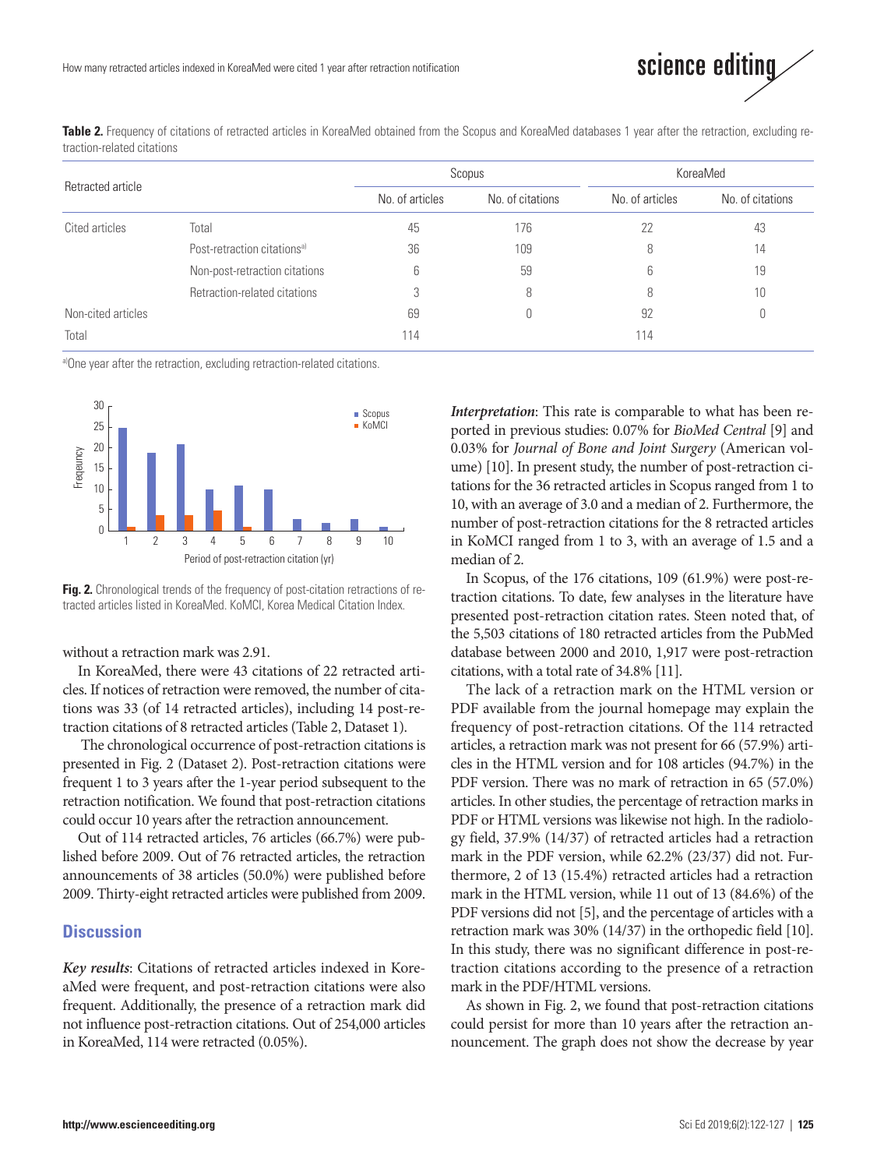

Table 2. Frequency of citations of retracted articles in KoreaMed obtained from the Scopus and KoreaMed databases 1 year after the retraction, excluding retraction-related citations

| Retracted article  |                                         |                 | Scopus           | KoreaMed        |                  |  |
|--------------------|-----------------------------------------|-----------------|------------------|-----------------|------------------|--|
|                    |                                         | No. of articles | No. of citations | No. of articles | No. of citations |  |
| Cited articles     | Total                                   | 45              | 176              | 22              | 43               |  |
|                    | Post-retraction citations <sup>a)</sup> | 36              | 109              | 8               | 14               |  |
|                    | Non-post-retraction citations           | 6               | 59               | 6               | 19               |  |
|                    | Retraction-related citations            |                 | 8                | 8               | 10               |  |
| Non-cited articles |                                         | 69              | U                | 92              | 0                |  |
| Total              |                                         | 114             |                  | 114             |                  |  |

a)One year after the retraction, excluding retraction-related citations.



**Fig. 2.** Chronological trends of the frequency of post-citation retractions of retracted articles listed in KoreaMed. KoMCI, Korea Medical Citation Index.

without a retraction mark was 2.91.

In KoreaMed, there were 43 citations of 22 retracted articles. If notices of retraction were removed, the number of citations was 33 (of 14 retracted articles), including 14 post-retraction citations of 8 retracted articles (Table 2, Dataset 1).

The chronological occurrence of post-retraction citations is presented in Fig. 2 (Dataset 2). Post-retraction citations were frequent 1 to 3 years after the 1-year period subsequent to the retraction notification. We found that post-retraction citations could occur 10 years after the retraction announcement.

Out of 114 retracted articles, 76 articles (66.7%) were published before 2009. Out of 76 retracted articles, the retraction announcements of 38 articles (50.0%) were published before 2009. Thirty-eight retracted articles were published from 2009.

### **Discussion**

*Key results*: Citations of retracted articles indexed in KoreaMed were frequent, and post-retraction citations were also frequent. Additionally, the presence of a retraction mark did not influence post-retraction citations. Out of 254,000 articles in KoreaMed, 114 were retracted (0.05%).

*Interpretation*: This rate is comparable to what has been reported in previous studies: 0.07% for *BioMed Central* [9] and 0.03% for *Journal of Bone and Joint Surgery* (American volume) [10]. In present study, the number of post-retraction citations for the 36 retracted articles in Scopus ranged from 1 to 10, with an average of 3.0 and a median of 2. Furthermore, the number of post-retraction citations for the 8 retracted articles in KoMCI ranged from 1 to 3, with an average of 1.5 and a median of 2.

In Scopus, of the 176 citations, 109 (61.9%) were post-retraction citations. To date, few analyses in the literature have presented post-retraction citation rates. Steen noted that, of the 5,503 citations of 180 retracted articles from the PubMed database between 2000 and 2010, 1,917 were post-retraction citations, with a total rate of 34.8% [11].

The lack of a retraction mark on the HTML version or PDF available from the journal homepage may explain the frequency of post-retraction citations. Of the 114 retracted articles, a retraction mark was not present for 66 (57.9%) articles in the HTML version and for 108 articles (94.7%) in the PDF version. There was no mark of retraction in 65 (57.0%) articles. In other studies, the percentage of retraction marks in PDF or HTML versions was likewise not high. In the radiology field, 37.9% (14/37) of retracted articles had a retraction mark in the PDF version, while 62.2% (23/37) did not. Furthermore, 2 of 13 (15.4%) retracted articles had a retraction mark in the HTML version, while 11 out of 13 (84.6%) of the PDF versions did not [5], and the percentage of articles with a retraction mark was 30% (14/37) in the orthopedic field [10]. In this study, there was no significant difference in post-retraction citations according to the presence of a retraction mark in the PDF/HTML versions.

As shown in Fig. 2, we found that post-retraction citations could persist for more than 10 years after the retraction announcement. The graph does not show the decrease by year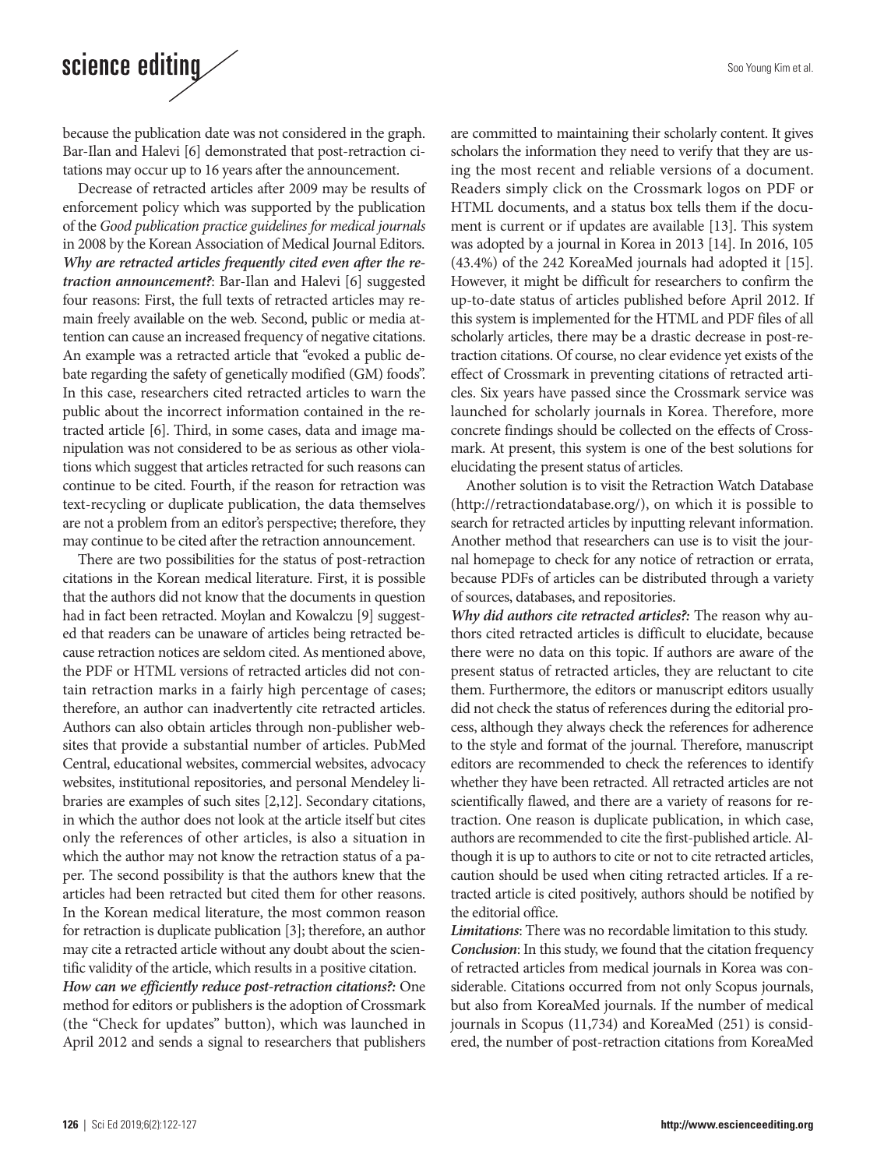# science editing

because the publication date was not considered in the graph. Bar-Ilan and Halevi [6] demonstrated that post-retraction citations may occur up to 16 years after the announcement.

Decrease of retracted articles after 2009 may be results of enforcement policy which was supported by the publication of the *Good publication practice guidelines for medical journals* in 2008 by the Korean Association of Medical Journal Editors. *Why are retracted articles frequently cited even after the retraction announcement?*: Bar-Ilan and Halevi [6] suggested four reasons: First, the full texts of retracted articles may remain freely available on the web. Second, public or media attention can cause an increased frequency of negative citations. An example was a retracted article that "evoked a public debate regarding the safety of genetically modified (GM) foods". In this case, researchers cited retracted articles to warn the public about the incorrect information contained in the retracted article [6]. Third, in some cases, data and image manipulation was not considered to be as serious as other violations which suggest that articles retracted for such reasons can continue to be cited. Fourth, if the reason for retraction was text-recycling or duplicate publication, the data themselves are not a problem from an editor's perspective; therefore, they may continue to be cited after the retraction announcement.

There are two possibilities for the status of post-retraction citations in the Korean medical literature. First, it is possible that the authors did not know that the documents in question had in fact been retracted. Moylan and Kowalczu [9] suggested that readers can be unaware of articles being retracted because retraction notices are seldom cited. As mentioned above, the PDF or HTML versions of retracted articles did not contain retraction marks in a fairly high percentage of cases; therefore, an author can inadvertently cite retracted articles. Authors can also obtain articles through non-publisher websites that provide a substantial number of articles. PubMed Central, educational websites, commercial websites, advocacy websites, institutional repositories, and personal Mendeley libraries are examples of such sites [2,12]. Secondary citations, in which the author does not look at the article itself but cites only the references of other articles, is also a situation in which the author may not know the retraction status of a paper. The second possibility is that the authors knew that the articles had been retracted but cited them for other reasons. In the Korean medical literature, the most common reason for retraction is duplicate publication [3]; therefore, an author may cite a retracted article without any doubt about the scientific validity of the article, which results in a positive citation. *How can we efficiently reduce post-retraction citations?:* One

method for editors or publishers is the adoption of Crossmark (the "Check for updates" button), which was launched in April 2012 and sends a signal to researchers that publishers are committed to maintaining their scholarly content. It gives scholars the information they need to verify that they are using the most recent and reliable versions of a document. Readers simply click on the Crossmark logos on PDF or HTML documents, and a status box tells them if the document is current or if updates are available [13]. This system was adopted by a journal in Korea in 2013 [14]. In 2016, 105 (43.4%) of the 242 KoreaMed journals had adopted it [15]. However, it might be difficult for researchers to confirm the up-to-date status of articles published before April 2012. If this system is implemented for the HTML and PDF files of all scholarly articles, there may be a drastic decrease in post-retraction citations. Of course, no clear evidence yet exists of the effect of Crossmark in preventing citations of retracted articles. Six years have passed since the Crossmark service was launched for scholarly journals in Korea. Therefore, more concrete findings should be collected on the effects of Crossmark. At present, this system is one of the best solutions for elucidating the present status of articles.

Another solution is to visit the Retraction Watch Database (http://retractiondatabase.org/), on which it is possible to search for retracted articles by inputting relevant information. Another method that researchers can use is to visit the journal homepage to check for any notice of retraction or errata, because PDFs of articles can be distributed through a variety of sources, databases, and repositories.

*Why did authors cite retracted articles?:* The reason why authors cited retracted articles is difficult to elucidate, because there were no data on this topic. If authors are aware of the present status of retracted articles, they are reluctant to cite them. Furthermore, the editors or manuscript editors usually did not check the status of references during the editorial process, although they always check the references for adherence to the style and format of the journal. Therefore, manuscript editors are recommended to check the references to identify whether they have been retracted. All retracted articles are not scientifically flawed, and there are a variety of reasons for retraction. One reason is duplicate publication, in which case, authors are recommended to cite the first-published article. Although it is up to authors to cite or not to cite retracted articles, caution should be used when citing retracted articles. If a retracted article is cited positively, authors should be notified by the editorial office.

*Limitations*: There was no recordable limitation to this study. *Conclusion*: In this study, we found that the citation frequency of retracted articles from medical journals in Korea was considerable. Citations occurred from not only Scopus journals, but also from KoreaMed journals. If the number of medical journals in Scopus (11,734) and KoreaMed (251) is considered, the number of post-retraction citations from KoreaMed